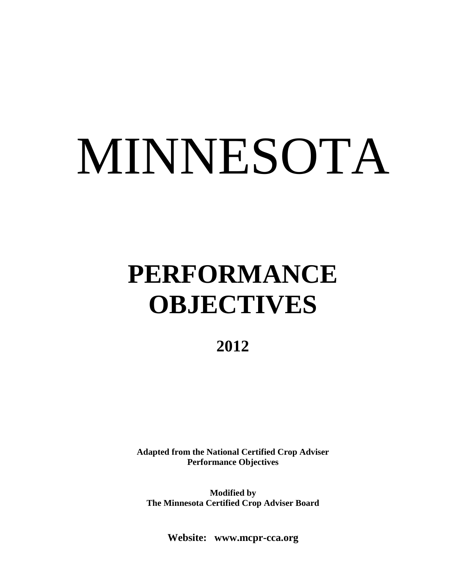# MINNESOTA

# **PERFORMANCE OBJECTIVES**

**2012**

**Adapted from the National Certified Crop Adviser Performance Objectives**

**Modified by The Minnesota Certified Crop Adviser Board**

**Website: www.mcpr-cca.org**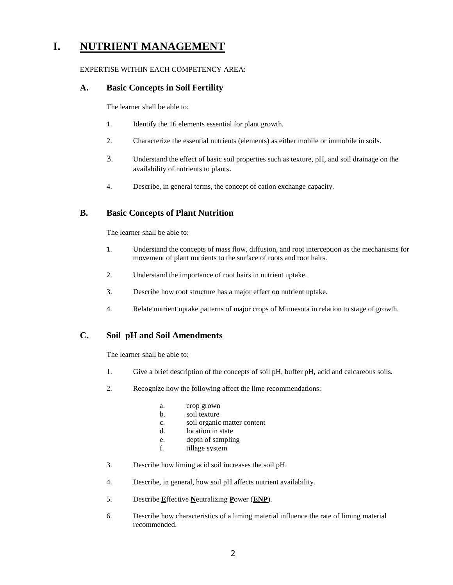# **I. NUTRIENT MANAGEMENT**

#### EXPERTISE WITHIN EACH COMPETENCY AREA:

#### **A. Basic Concepts in Soil Fertility**

The learner shall be able to:

- 1. Identify the 16 elements essential for plant growth.
- 2. Characterize the essential nutrients (elements) as either mobile or immobile in soils.
- 3. Understand the effect of basic soil properties such as texture, pH, and soil drainage on the availability of nutrients to plants.
- 4. Describe, in general terms, the concept of cation exchange capacity.

# **B. Basic Concepts of Plant Nutrition**

The learner shall be able to:

- 1. Understand the concepts of mass flow, diffusion, and root interception as the mechanisms for movement of plant nutrients to the surface of roots and root hairs.
- 2. Understand the importance of root hairs in nutrient uptake.
- 3. Describe how root structure has a major effect on nutrient uptake.
- 4. Relate nutrient uptake patterns of major crops of Minnesota in relation to stage of growth.

# **C. Soil pH and Soil Amendments**

- 1. Give a brief description of the concepts of soil pH, buffer pH, acid and calcareous soils.
- 2. Recognize how the following affect the lime recommendations:
	- a. crop grown
	- b. soil texture
	- c. soil organic matter content
	- d. location in state
	- e. depth of sampling
	- f. tillage system
- 3. Describe how liming acid soil increases the soil pH.
- 4. Describe, in general, how soil pH affects nutrient availability.
- 5. Describe **E**ffective **N**eutralizing **P**ower (**ENP**).
- 6. Describe how characteristics of a liming material influence the rate of liming material recommended.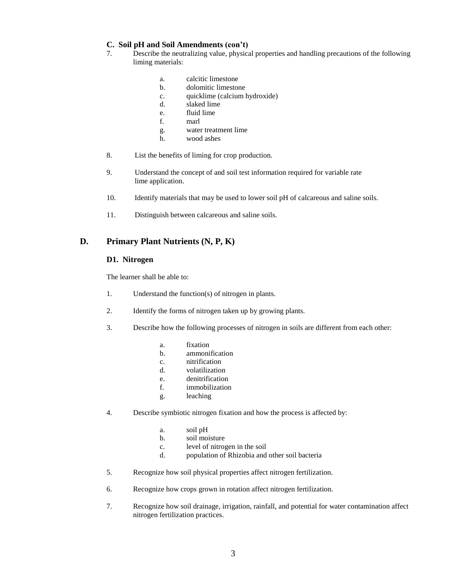#### **C. Soil pH and Soil Amendments (con't)**

- 7. Describe the neutralizing value, physical properties and handling precautions of the following liming materials:
	- a. calcitic limestone
	- b. dolomitic limestone
	- c. quicklime (calcium hydroxide)
	- d. slaked lime
	- e. fluid lime
	- f. marl
	- g. water treatment lime
	- h. wood ashes
- 8. List the benefits of liming for crop production.
- 9. Understand the concept of and soil test information required for variable rate lime application.
- 10. Identify materials that may be used to lower soil pH of calcareous and saline soils.
- 11. Distinguish between calcareous and saline soils.

# **D. Primary Plant Nutrients (N, P, K)**

#### **D1. Nitrogen**

- 1. Understand the function(s) of nitrogen in plants.
- 2. Identify the forms of nitrogen taken up by growing plants.
- 3. Describe how the following processes of nitrogen in soils are different from each other:
	- a. fixation
	- b. ammonification
	- c. nitrification
	- d. volatilization
	- e. denitrification
	- f. immobilization
	- g. leaching
- 4. Describe symbiotic nitrogen fixation and how the process is affected by:
	- a. soil pH
	- b. soil moisture
	- c. level of nitrogen in the soil
	- d. population of Rhizobia and other soil bacteria
- 5. Recognize how soil physical properties affect nitrogen fertilization.
- 6. Recognize how crops grown in rotation affect nitrogen fertilization.
- 7. Recognize how soil drainage, irrigation, rainfall, and potential for water contamination affect nitrogen fertilization practices.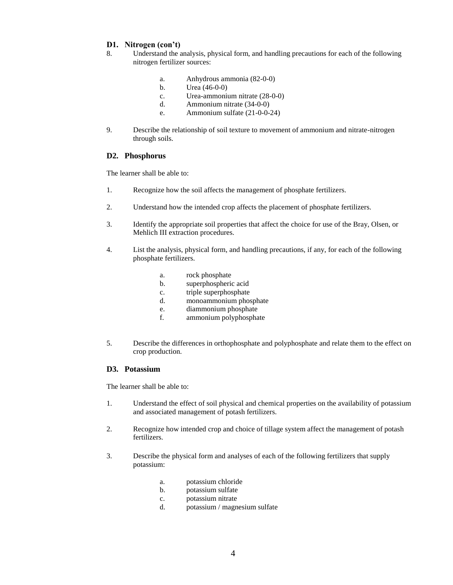#### **D1. Nitrogen (con't)**

- 8. Understand the analysis, physical form, and handling precautions for each of the following nitrogen fertilizer sources:
	- a. Anhydrous ammonia (82-0-0)
	- b. Urea (46-0-0)
	- c. Urea-ammonium nitrate (28-0-0)
	- d. Ammonium nitrate (34-0-0)
	- e. Ammonium sulfate (21-0-0-24)
- 9. Describe the relationship of soil texture to movement of ammonium and nitrate-nitrogen through soils.

#### **D2. Phosphorus**

The learner shall be able to:

- 1. Recognize how the soil affects the management of phosphate fertilizers.
- 2. Understand how the intended crop affects the placement of phosphate fertilizers.
- 3. Identify the appropriate soil properties that affect the choice for use of the Bray, Olsen, or Mehlich III extraction procedures.
- 4. List the analysis, physical form, and handling precautions, if any, for each of the following phosphate fertilizers.
	- a. rock phosphate
	- b. superphospheric acid
	- c. triple superphosphate
	- d. monoammonium phosphate
	- e. diammonium phosphate
	- f. ammonium polyphosphate
- 5. Describe the differences in orthophosphate and polyphosphate and relate them to the effect on crop production.

#### **D3. Potassium**

- 1. Understand the effect of soil physical and chemical properties on the availability of potassium and associated management of potash fertilizers.
- 2. Recognize how intended crop and choice of tillage system affect the management of potash fertilizers.
- 3. Describe the physical form and analyses of each of the following fertilizers that supply potassium:
	- a. potassium chloride
	- b. potassium sulfate
	- c. potassium nitrate
	- d. potassium / magnesium sulfate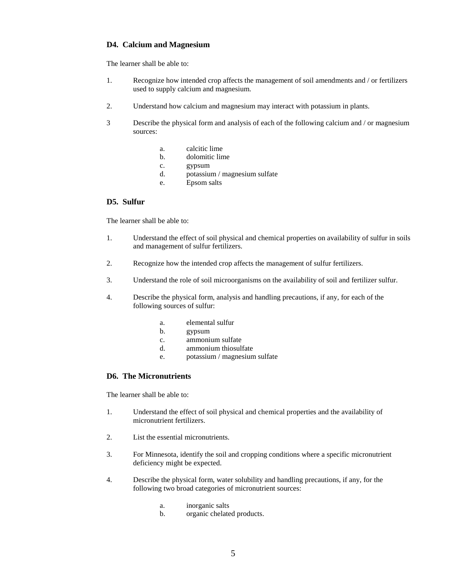#### **D4. Calcium and Magnesium**

The learner shall be able to:

- 1. Recognize how intended crop affects the management of soil amendments and / or fertilizers used to supply calcium and magnesium.
- 2. Understand how calcium and magnesium may interact with potassium in plants.
- 3 Describe the physical form and analysis of each of the following calcium and / or magnesium sources:
	- a. calcitic lime
	- b. dolomitic lime
	- c. gypsum
	- d. potassium / magnesium sulfate
	- e. Epsom salts

#### **D5. Sulfur**

The learner shall be able to:

- 1. Understand the effect of soil physical and chemical properties on availability of sulfur in soils and management of sulfur fertilizers.
- 2. Recognize how the intended crop affects the management of sulfur fertilizers.
- 3. Understand the role of soil microorganisms on the availability of soil and fertilizer sulfur.
- 4. Describe the physical form, analysis and handling precautions, if any, for each of the following sources of sulfur:
	- a. elemental sulfur
	- b. gypsum
	- c. ammonium sulfate
	- d. ammonium thiosulfate
	- e. potassium / magnesium sulfate

#### **D6. The Micronutrients**

- 1. Understand the effect of soil physical and chemical properties and the availability of micronutrient fertilizers.
- 2. List the essential micronutrients.
- 3. For Minnesota, identify the soil and cropping conditions where a specific micronutrient deficiency might be expected.
- 4. Describe the physical form, water solubility and handling precautions, if any, for the following two broad categories of micronutrient sources:
	- a. inorganic salts
	- b. organic chelated products.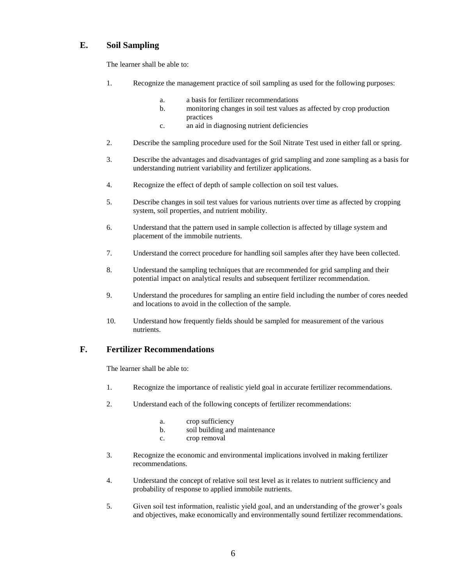# **E. Soil Sampling**

The learner shall be able to:

- 1. Recognize the management practice of soil sampling as used for the following purposes:
	- a. a basis for fertilizer recommendations
	- b. monitoring changes in soil test values as affected by crop production practices
	- c. an aid in diagnosing nutrient deficiencies
- 2. Describe the sampling procedure used for the Soil Nitrate Test used in either fall or spring.
- 3. Describe the advantages and disadvantages of grid sampling and zone sampling as a basis for understanding nutrient variability and fertilizer applications.
- 4. Recognize the effect of depth of sample collection on soil test values.
- 5. Describe changes in soil test values for various nutrients over time as affected by cropping system, soil properties, and nutrient mobility.
- 6. Understand that the pattern used in sample collection is affected by tillage system and placement of the immobile nutrients.
- 7. Understand the correct procedure for handling soil samples after they have been collected.
- 8. Understand the sampling techniques that are recommended for grid sampling and their potential impact on analytical results and subsequent fertilizer recommendation.
- 9. Understand the procedures for sampling an entire field including the number of cores needed and locations to avoid in the collection of the sample.
- 10. Understand how frequently fields should be sampled for measurement of the various nutrients.

# **F. Fertilizer Recommendations**

- 1. Recognize the importance of realistic yield goal in accurate fertilizer recommendations.
- 2. Understand each of the following concepts of fertilizer recommendations:
	- a. crop sufficiency
	- b. soil building and maintenance
	- c. crop removal
- 3. Recognize the economic and environmental implications involved in making fertilizer recommendations.
- 4. Understand the concept of relative soil test level as it relates to nutrient sufficiency and probability of response to applied immobile nutrients.
- 5. Given soil test information, realistic yield goal, and an understanding of the grower's goals and objectives, make economically and environmentally sound fertilizer recommendations.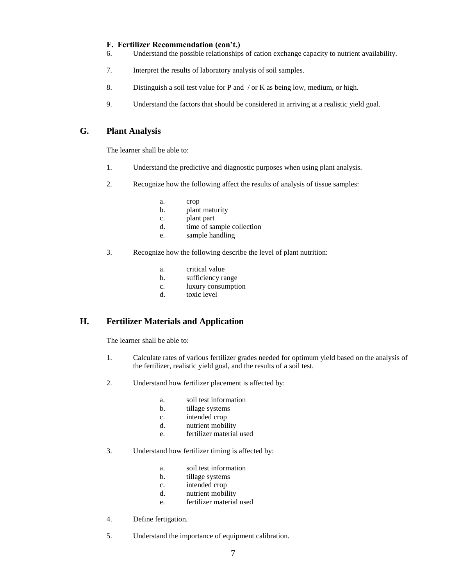#### **F. Fertilizer Recommendation (con't.)**

- 6. Understand the possible relationships of cation exchange capacity to nutrient availability.
- 7. Interpret the results of laboratory analysis of soil samples.
- 8. Distinguish a soil test value for P and  $\theta$  or K as being low, medium, or high.
- 9. Understand the factors that should be considered in arriving at a realistic yield goal.

# **G. Plant Analysis**

The learner shall be able to:

- 1. Understand the predictive and diagnostic purposes when using plant analysis.
- 2. Recognize how the following affect the results of analysis of tissue samples:
	- a. crop
	- b. plant maturity
	- c. plant part
	- d. time of sample collection
	- e. sample handling
- 3. Recognize how the following describe the level of plant nutrition:
	- a. critical value
	- b. sufficiency range
	- c. luxury consumption
	- d. toxic level

# **H. Fertilizer Materials and Application**

- 1. Calculate rates of various fertilizer grades needed for optimum yield based on the analysis of the fertilizer, realistic yield goal, and the results of a soil test.
- 2. Understand how fertilizer placement is affected by:
	- a. soil test information
	- b. tillage systems
	- c. intended crop
	- d. nutrient mobility
	- e. fertilizer material used
- 3. Understand how fertilizer timing is affected by:
	- a. soil test information
	- b. tillage systems
	- c. intended crop
	- d. nutrient mobility
	- e. fertilizer material used
- 4. Define fertigation.
- 5. Understand the importance of equipment calibration.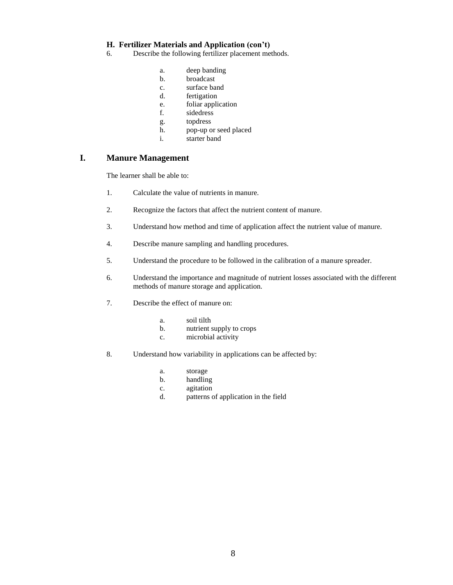#### **H. Fertilizer Materials and Application (con't)**

- 6. Describe the following fertilizer placement methods.
	- a. deep banding
	- b. broadcast
	- c. surface band
	- d. fertigation
	- e. foliar application
	- f. sidedress
	- g. topdress
	- h. pop-up or seed placed
	- i. starter band

# **I. Manure Management**

- 1. Calculate the value of nutrients in manure.
- 2. Recognize the factors that affect the nutrient content of manure.
- 3. Understand how method and time of application affect the nutrient value of manure.
- 4. Describe manure sampling and handling procedures.
- 5. Understand the procedure to be followed in the calibration of a manure spreader.
- 6. Understand the importance and magnitude of nutrient losses associated with the different methods of manure storage and application.
- 7. Describe the effect of manure on:
	- a. soil tilth
	- b. nutrient supply to crops
	- c. microbial activity
- 8. Understand how variability in applications can be affected by:
	- a. storage
	- b. handling
	- c. agitation
	- d. patterns of application in the field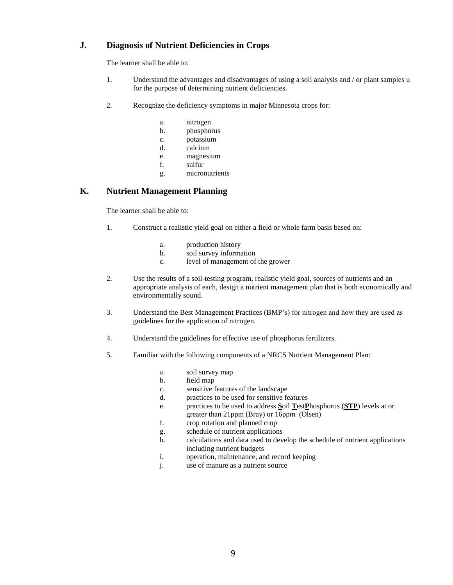# **J. Diagnosis of Nutrient Deficiencies in Crops**

The learner shall be able to:

- 1. Understand the advantages and disadvantages of using a soil analysis and / or plant samples u for the purpose of determining nutrient deficiencies.
- 2. Recognize the deficiency symptoms in major Minnesota crops for:
	- a. nitrogen
	- b. phosphorus
	- c. potassium
	- d. calcium
	- e. magnesium
	- f. sulfur
	- g. micronutrients

# **K. Nutrient Management Planning**

- 1. Construct a realistic yield goal on either a field or whole farm basis based on:
	- a. production history
	- b. soil survey information
	- c. level of management of the grower
- 2. Use the results of a soil-testing program, realistic yield goal, sources of nutrients and an appropriate analysis of each, design a nutrient management plan that is both economically and environmentally sound.
- 3. Understand the Best Management Practices (BMP's) for nitrogen and how they are used as guidelines for the application of nitrogen.
- 4. Understand the guidelines for effective use of phosphorus fertilizers.
- 5. Familiar with the following components of a NRCS Nutrient Management Plan:
	- a. soil survey map
	- b. field map
	- c. sensitive features of the landscape
	- d. practices to be used for sensitive features
	- e. practices to be used to address **S**oil **T**est**P**hosphorus (**STP**) levels at or greater than 21ppm (Bray) or 16ppm (Olsen)
	- f. crop rotation and planned crop
	- g. schedule of nutrient applications
	- h. calculations and data used to develop the schedule of nutrient applications including nutrient budgets
	- i. operation, maintenance, and record keeping
	- j. use of manure as a nutrient source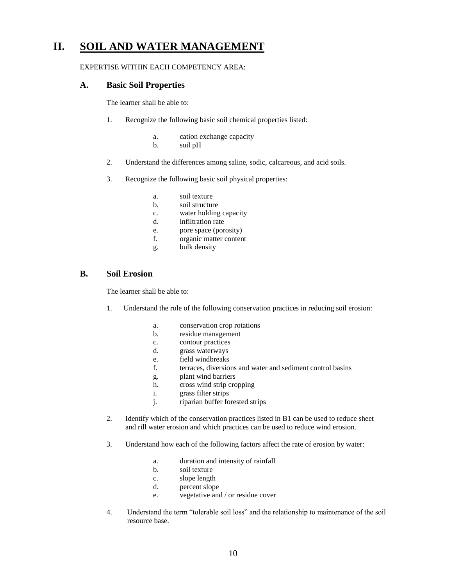# **II. SOIL AND WATER MANAGEMENT**

#### EXPERTISE WITHIN EACH COMPETENCY AREA:

#### **A. Basic Soil Properties**

The learner shall be able to:

- 1. Recognize the following basic soil chemical properties listed:
	- a. cation exchange capacity
	- b. soil pH
- 2. Understand the differences among saline, sodic, calcareous, and acid soils.
- 3. Recognize the following basic soil physical properties:
	- a. soil texture
	- b. soil structure
	- c. water holding capacity
	- d. infiltration rate
	- e. pore space (porosity)
	- f. organic matter content
	- g. bulk density

#### **B. Soil Erosion**

- 1. Understand the role of the following conservation practices in reducing soil erosion:
	- a. conservation crop rotations
	- b. residue management
	- c. contour practices
	- d. grass waterways
	- e. field windbreaks
	- f. terraces, diversions and water and sediment control basins
	- g. plant wind barriers
	- h. cross wind strip cropping
	- i. grass filter strips
	- j. riparian buffer forested strips
- 2. Identify which of the conservation practices listed in B1 can be used to reduce sheet and rill water erosion and which practices can be used to reduce wind erosion.
- 3. Understand how each of the following factors affect the rate of erosion by water:
	- a. duration and intensity of rainfall
	- b. soil texture
	- c. slope length
	- d. percent slope
	- e. vegetative and / or residue cover
- 4. Understand the term "tolerable soil loss" and the relationship to maintenance of the soil resource base.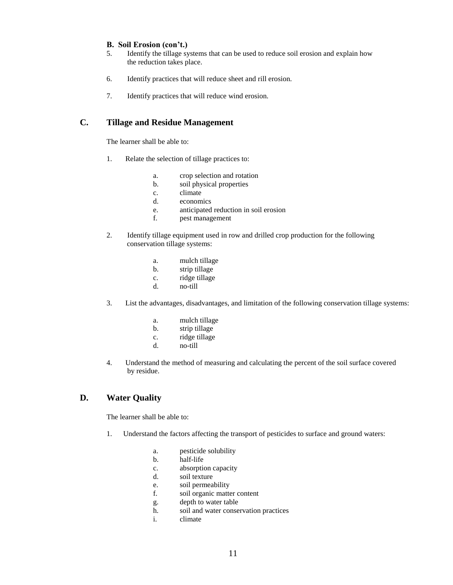#### **B. Soil Erosion (con't.)**

- 5. Identify the tillage systems that can be used to reduce soil erosion and explain how the reduction takes place.
- 6. Identify practices that will reduce sheet and rill erosion.
- 7. Identify practices that will reduce wind erosion.

# **C. Tillage and Residue Management**

The learner shall be able to:

- 1. Relate the selection of tillage practices to:
	- a. crop selection and rotation
	- b. soil physical properties
	- c. climate
	- d. economics
	- e. anticipated reduction in soil erosion
	- f. pest management
- 2. Identify tillage equipment used in row and drilled crop production for the following conservation tillage systems:
	- a. mulch tillage
	- b. strip tillage
	- c. ridge tillage
	- d. no-till
- 3. List the advantages, disadvantages, and limitation of the following conservation tillage systems:
	- a. mulch tillage
	- b. strip tillage
	- c. ridge tillage
	- d. no-till
- 4. Understand the method of measuring and calculating the percent of the soil surface covered by residue.

#### **D. Water Quality**

- 1. Understand the factors affecting the transport of pesticides to surface and ground waters:
	- a. pesticide solubility
	- b. half-life
	- c. absorption capacity
	- d. soil texture
	- e. soil permeability
	- f. soil organic matter content
	- g. depth to water table
	- h. soil and water conservation practices
	- i. climate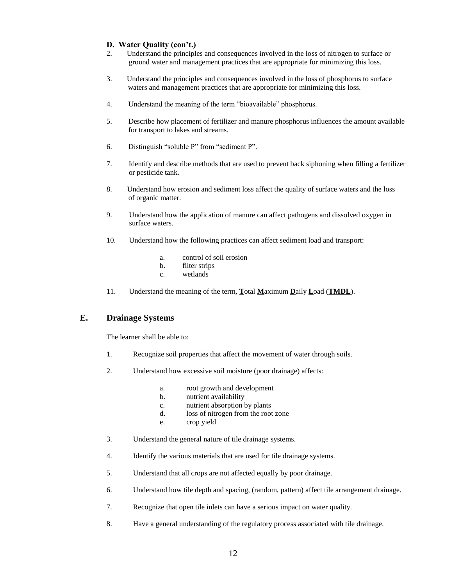#### **D. Water Quality (con't.)**

- 2. Understand the principles and consequences involved in the loss of nitrogen to surface or ground water and management practices that are appropriate for minimizing this loss.
- 3. Understand the principles and consequences involved in the loss of phosphorus to surface waters and management practices that are appropriate for minimizing this loss.
- 4. Understand the meaning of the term "bioavailable" phosphorus.
- 5. Describe how placement of fertilizer and manure phosphorus influences the amount available for transport to lakes and streams.
- 6. Distinguish "soluble P" from "sediment P".
- 7. Identify and describe methods that are used to prevent back siphoning when filling a fertilizer or pesticide tank.
- 8. Understand how erosion and sediment loss affect the quality of surface waters and the loss of organic matter.
- 9. Understand how the application of manure can affect pathogens and dissolved oxygen in surface waters.
- 10. Understand how the following practices can affect sediment load and transport:
	- a. control of soil erosion
	- b. filter strips
	- c. wetlands
- 11. Understand the meaning of the term, **T**otal **M**aximum **D**aily **L**oad (**TMDL**).

#### **E. Drainage Systems**

- 1. Recognize soil properties that affect the movement of water through soils.
- 2. Understand how excessive soil moisture (poor drainage) affects:
	- a. root growth and development
	- b. nutrient availability
	- c. nutrient absorption by plants
	- d. loss of nitrogen from the root zone
	- e. crop yield
- 3. Understand the general nature of tile drainage systems.
- 4. Identify the various materials that are used for tile drainage systems.
- 5. Understand that all crops are not affected equally by poor drainage.
- 6. Understand how tile depth and spacing, (random, pattern) affect tile arrangement drainage.
- 7. Recognize that open tile inlets can have a serious impact on water quality.
- 8. Have a general understanding of the regulatory process associated with tile drainage.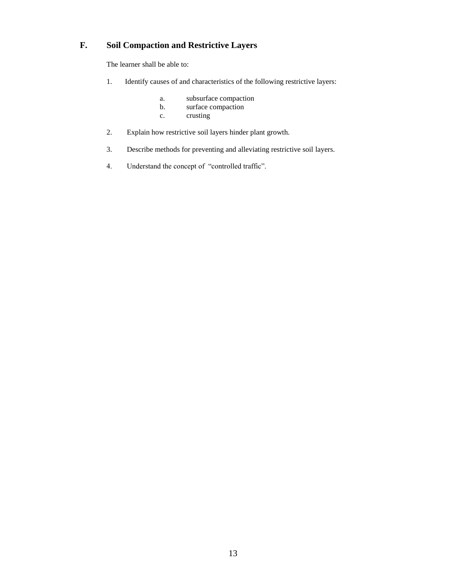# **F. Soil Compaction and Restrictive Layers**

- 1. Identify causes of and characteristics of the following restrictive layers:
	- a. subsurface compaction<br>b. surface compaction
	- surface compaction
	- c. crusting
- 2. Explain how restrictive soil layers hinder plant growth.
- 3. Describe methods for preventing and alleviating restrictive soil layers.
- 4. Understand the concept of "controlled traffic".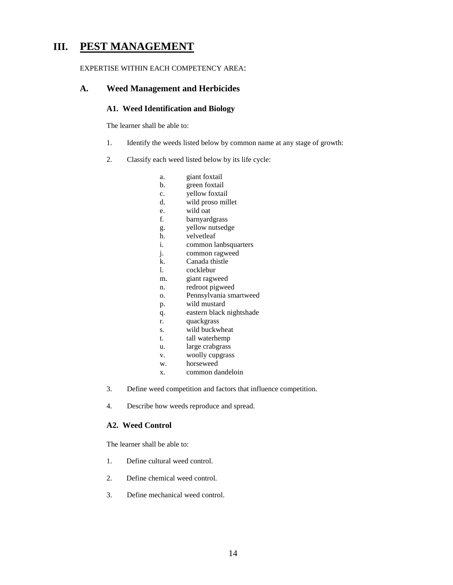# **III. PEST MANAGEMENT**

#### EXPERTISE WITHIN EACH COMPETENCY AREA:

#### **A. Weed Management and Herbicides**

#### **A1. Weed Identification and Biology**

The learner shall be able to:

- 1. Identify the weeds listed below by common name at any stage of growth:
- 2. Classify each weed listed below by its life cycle:
	- a. giant foxtail
	- b. green foxtail
	- c. yellow foxtail
	- d. wild proso millet
	- e. wild oat
	- f. barnyardgrass
	- g. yellow nutsedge
	- h. velvetleaf
	- i. common lanbsquarters
	- j. common ragweed
	- k. Canada thistle
	- l. cocklebur
	- m. giant ragweed
	- n. redroot pigweed
	- o. Pennsylvania smartweed
	- p. wild mustard
	- q. eastern black nightshade
	- r. quackgrass
	- s. wild buckwheat
	- t. tall waterhemp
	- u. large crabgrass
	- v. woolly cupgrass
	- w. horseweed
	- x. common dandeloin
- 3. Define weed competition and factors that influence competition.
- 4. Describe how weeds reproduce and spread.

#### **A2. Weed Control**

- 1. Define cultural weed control.
- 2. Define chemical weed control.
- 3. Define mechanical weed control.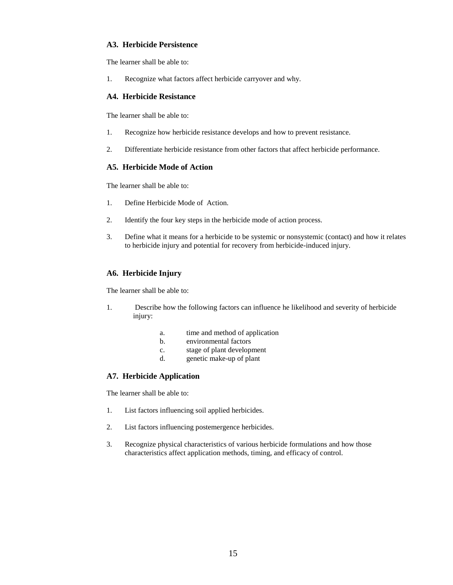#### **A3. Herbicide Persistence**

The learner shall be able to:

1. Recognize what factors affect herbicide carryover and why.

#### **A4. Herbicide Resistance**

The learner shall be able to:

- 1. Recognize how herbicide resistance develops and how to prevent resistance.
- 2. Differentiate herbicide resistance from other factors that affect herbicide performance.

#### **A5. Herbicide Mode of Action**

The learner shall be able to:

- 1. Define Herbicide Mode of Action.
- 2. Identify the four key steps in the herbicide mode of action process.
- 3. Define what it means for a herbicide to be systemic or nonsystemic (contact) and how it relates to herbicide injury and potential for recovery from herbicide-induced injury.

#### **A6. Herbicide Injury**

The learner shall be able to:

- 1. Describe how the following factors can influence he likelihood and severity of herbicide injury:
	- a. time and method of application
	- b. environmental factors
	- c. stage of plant development
	- d. genetic make-up of plant

#### **A7. Herbicide Application**

- 1. List factors influencing soil applied herbicides.
- 2. List factors influencing postemergence herbicides.
- 3. Recognize physical characteristics of various herbicide formulations and how those characteristics affect application methods, timing, and efficacy of control.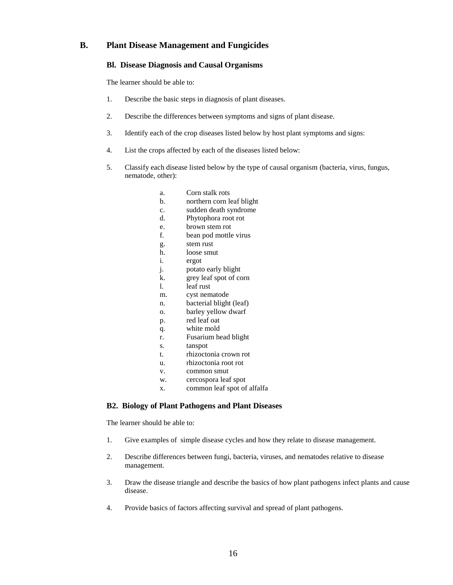#### **B. Plant Disease Management and Fungicides**

#### **Bl. Disease Diagnosis and Causal Organisms**

The learner should be able to:

- 1. Describe the basic steps in diagnosis of plant diseases.
- 2. Describe the differences between symptoms and signs of plant disease.
- 3. Identify each of the crop diseases listed below by host plant symptoms and signs:
- 4. List the crops affected by each of the diseases listed below:
- 5. Classify each disease listed below by the type of causal organism (bacteria, virus, fungus, nematode, other):
	- a. Corn stalk rots
	- b. northern corn leaf blight
	- c. sudden death syndrome
	- d. Phytophora root rot
	- e. brown stem rot
	- f. bean pod mottle virus
	- g. stem rust
	- h. loose smut
	- i. ergot
	- j. potato early blight
	- k. grey leaf spot of corn
	- l. leaf rust
	- m. cyst nematode
	- n. bacterial blight (leaf)
	- o. barley yellow dwarf
	- p. red leaf oat
	- q. white mold
	- r. Fusarium head blight
	- s. tanspot
	- t. rhizoctonia crown rot
	- u. rhizoctonia root rot
	- v. common smut
	- w. cercospora leaf spot
	- x. common leaf spot of alfalfa

#### **B2. Biology of Plant Pathogens and Plant Diseases**

- 1. Give examples of simple disease cycles and how they relate to disease management.
- 2. Describe differences between fungi, bacteria, viruses, and nematodes relative to disease management.
- 3. Draw the disease triangle and describe the basics of how plant pathogens infect plants and cause disease.
- 4. Provide basics of factors affecting survival and spread of plant pathogens.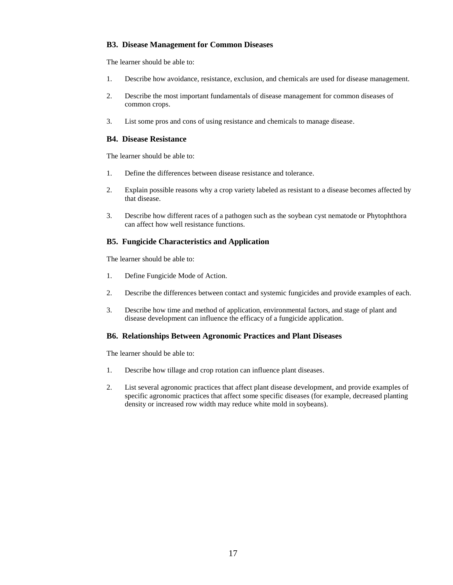#### **B3. Disease Management for Common Diseases**

The learner should be able to:

- 1. Describe how avoidance, resistance, exclusion, and chemicals are used for disease management.
- 2. Describe the most important fundamentals of disease management for common diseases of common crops.
- 3. List some pros and cons of using resistance and chemicals to manage disease.

#### **B4. Disease Resistance**

The learner should be able to:

- 1. Define the differences between disease resistance and tolerance.
- 2. Explain possible reasons why a crop variety labeled as resistant to a disease becomes affected by that disease.
- 3. Describe how different races of a pathogen such as the soybean cyst nematode or Phytophthora can affect how well resistance functions.

#### **B5. Fungicide Characteristics and Application**

The learner should be able to:

- 1. Define Fungicide Mode of Action.
- 2. Describe the differences between contact and systemic fungicides and provide examples of each.
- 3. Describe how time and method of application, environmental factors, and stage of plant and disease development can influence the efficacy of a fungicide application.

#### **B6. Relationships Between Agronomic Practices and Plant Diseases**

- 1. Describe how tillage and crop rotation can influence plant diseases.
- 2. List several agronomic practices that affect plant disease development, and provide examples of specific agronomic practices that affect some specific diseases (for example, decreased planting density or increased row width may reduce white mold in soybeans).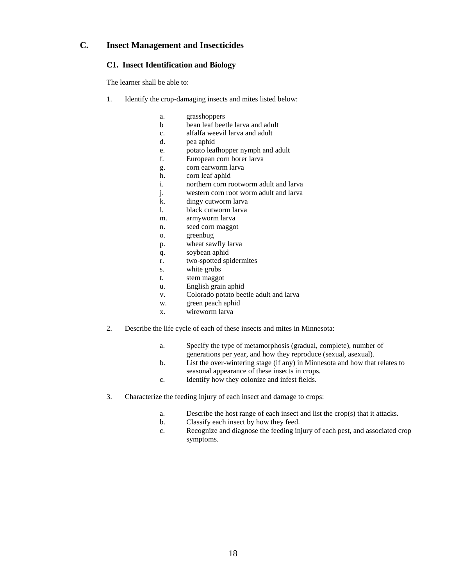#### **C. Insect Management and Insecticides**

#### **C1. Insect Identification and Biology**

- 1. Identify the crop-damaging insects and mites listed below:
	- a. grasshoppers
	- b bean leaf beetle larva and adult
	- c. alfalfa weevil larva and adult
	- d. pea aphid
	- e. potato leafhopper nymph and adult
	- f. European corn borer larva
	- g. corn earworm larva
	- h. corn leaf aphid
	- i. northern corn rootworm adult and larva
	- j. western corn root worm adult and larva
	- k. dingy cutworm larva
	- l. black cutworm larva
	- m. armyworm larva
	- n. seed corn maggot
	- o. greenbug
	- p. wheat sawfly larva
	- q. soybean aphid
	- r. two-spotted spidermites
	- s. white grubs
	- t. stem maggot
	- u. English grain aphid
	- v. Colorado potato beetle adult and larva
	- w. green peach aphid
	- x. wireworm larva
- 2. Describe the life cycle of each of these insects and mites in Minnesota:
	- a. Specify the type of metamorphosis (gradual, complete), number of generations per year, and how they reproduce (sexual, asexual).
	- b. List the over-wintering stage (if any) in Minnesota and how that relates to seasonal appearance of these insects in crops.
	- c. Identify how they colonize and infest fields.
- 3. Characterize the feeding injury of each insect and damage to crops:
	- a. Describe the host range of each insect and list the crop(s) that it attacks.
	- b. Classify each insect by how they feed.
	- c. Recognize and diagnose the feeding injury of each pest, and associated crop symptoms.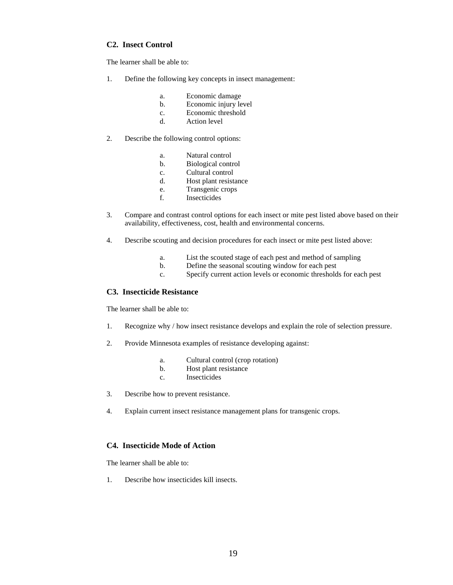#### **C2. Insect Control**

The learner shall be able to:

- 1. Define the following key concepts in insect management:
	- a. Economic damage
	- b. Economic injury level
	- c. Economic threshold
	- d. Action level
- 2. Describe the following control options:
	- a. Natural control
	- b. Biological control
	- c. Cultural control
	- d. Host plant resistance
	- e. Transgenic crops
	- f. Insecticides
- 3. Compare and contrast control options for each insect or mite pest listed above based on their availability, effectiveness, cost, health and environmental concerns.
- 4. Describe scouting and decision procedures for each insect or mite pest listed above:
	- a. List the scouted stage of each pest and method of sampling
	- b. Define the seasonal scouting window for each pest
	- c. Specify current action levels or economic thresholds for each pest

#### **C3. Insecticide Resistance**

The learner shall be able to:

- 1. Recognize why / how insect resistance develops and explain the role of selection pressure.
- 2. Provide Minnesota examples of resistance developing against:
	- a. Cultural control (crop rotation)
	- b. Host plant resistance
	- c. Insecticides
- 3. Describe how to prevent resistance.
- 4. Explain current insect resistance management plans for transgenic crops.

#### **C4. Insecticide Mode of Action**

The learner shall be able to:

1. Describe how insecticides kill insects.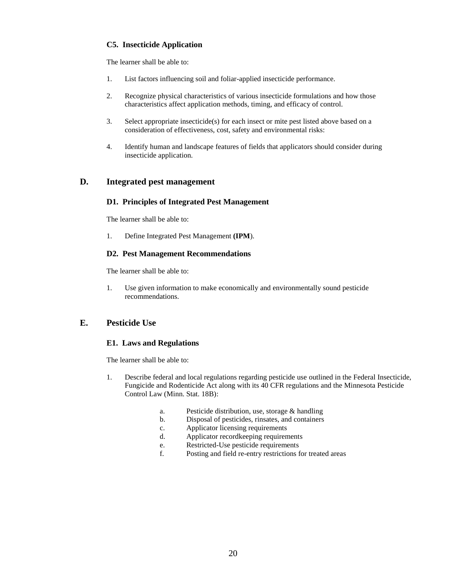#### **C5. Insecticide Application**

The learner shall be able to:

- 1. List factors influencing soil and foliar-applied insecticide performance.
- 2. Recognize physical characteristics of various insecticide formulations and how those characteristics affect application methods, timing, and efficacy of control.
- 3. Select appropriate insecticide(s) for each insect or mite pest listed above based on a consideration of effectiveness, cost, safety and environmental risks:
- 4. Identify human and landscape features of fields that applicators should consider during insecticide application.

#### **D. Integrated pest management**

#### **D1. Principles of Integrated Pest Management**

The learner shall be able to:

1. Define Integrated Pest Management **(IPM**).

#### **D2. Pest Management Recommendations**

The learner shall be able to:

1. Use given information to make economically and environmentally sound pesticide recommendations.

#### **E. Pesticide Use**

#### **E1. Laws and Regulations**

- 1. Describe federal and local regulations regarding pesticide use outlined in the Federal Insecticide, Fungicide and Rodenticide Act along with its 40 CFR regulations and the Minnesota Pesticide Control Law (Minn. Stat. 18B):
	- a. Pesticide distribution, use, storage & handling
	- b. Disposal of pesticides, rinsates, and containers
	- c. Applicator licensing requirements
	- d. Applicator recordkeeping requirements
	- e. Restricted-Use pesticide requirements
	- f. Posting and field re-entry restrictions for treated areas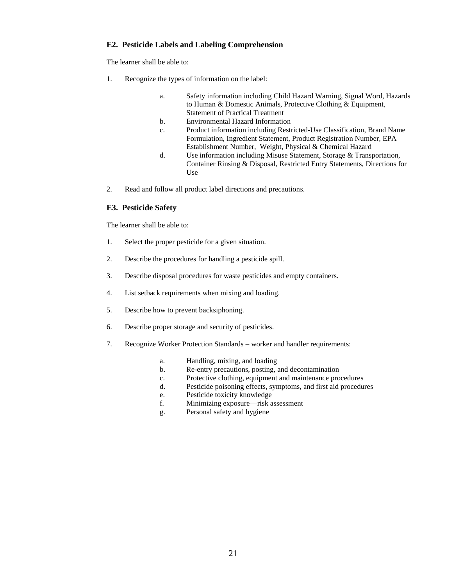#### **E2. Pesticide Labels and Labeling Comprehension**

The learner shall be able to:

- 1. Recognize the types of information on the label:
	- a. Safety information including Child Hazard Warning, Signal Word, Hazards to Human & Domestic Animals, Protective Clothing & Equipment, Statement of Practical Treatment
	- b. Environmental Hazard Information
	- c. Product information including Restricted-Use Classification, Brand Name Formulation, Ingredient Statement, Product Registration Number, EPA Establishment Number, Weight, Physical & Chemical Hazard
	- d. Use information including Misuse Statement, Storage & Transportation, Container Rinsing & Disposal, Restricted Entry Statements, Directions for Use
- 2. Read and follow all product label directions and precautions.

#### **E3. Pesticide Safety**

- 1. Select the proper pesticide for a given situation.
- 2. Describe the procedures for handling a pesticide spill.
- 3. Describe disposal procedures for waste pesticides and empty containers.
- 4. List setback requirements when mixing and loading.
- 5. Describe how to prevent backsiphoning.
- 6. Describe proper storage and security of pesticides.
- 7. Recognize Worker Protection Standards worker and handler requirements:
	- a. Handling, mixing, and loading
	- b. Re-entry precautions, posting, and decontamination
	- c. Protective clothing, equipment and maintenance procedures
	- d. Pesticide poisoning effects, symptoms, and first aid procedures
		- e. Pesticide toxicity knowledge
		- f. Minimizing exposure—risk assessment
		- g. Personal safety and hygiene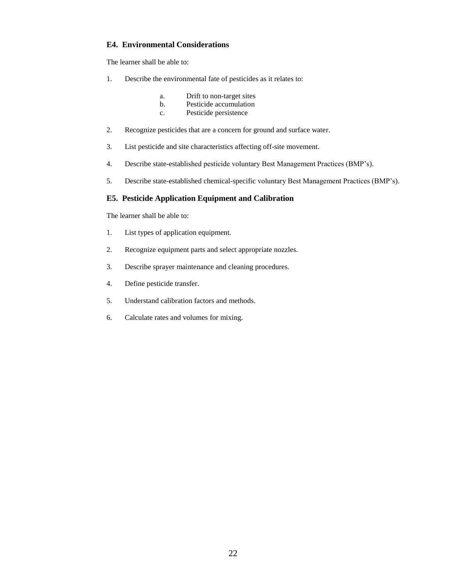#### **E4. Environmental Considerations**

The learner shall be able to:

- 1. Describe the environmental fate of pesticides as it relates to:
	- a. Drift to non-target sites
	- b. Pesticide accumulation
	- c. Pesticide persistence
- 2. Recognize pesticides that are a concern for ground and surface water.
- 3. List pesticide and site characteristics affecting off-site movement.
- 4. Describe state-established pesticide voluntary Best Management Practices (BMP's).
- 5. Describe state-established chemical-specific voluntary Best Management Practices (BMP's).

#### **E5. Pesticide Application Equipment and Calibration**

- 1. List types of application equipment.
- 2. Recognize equipment parts and select appropriate nozzles.
- 3. Describe sprayer maintenance and cleaning procedures.
- 4. Define pesticide transfer.
- 5. Understand calibration factors and methods.
- 6. Calculate rates and volumes for mixing.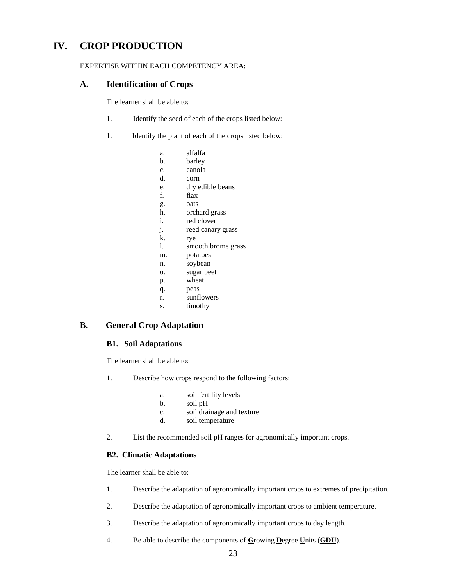# **IV. CROP PRODUCTION**

#### EXPERTISE WITHIN EACH COMPETENCY AREA:

#### **A. Identification of Crops**

The learner shall be able to:

- 1. Identify the seed of each of the crops listed below:
- 1. Identify the plant of each of the crops listed below:
	- a. alfalfa
	- b. barley
	- c. canola
	- d. corn
	- e. dry edible beans
	- f. flax
	- g. oats
	- h. orchard grass
	- i. red clover
	- j. reed canary grass
	- k. rye
	- l. smooth brome grass
	- m. potatoes
	- n. soybean
	- o. sugar beet
	- p. wheat
	- q. peas
	- r. sunflowers
	- s. timothy

# **B. General Crop Adaptation**

#### **B1. Soil Adaptations**

The learner shall be able to:

- 1. Describe how crops respond to the following factors:
	- a. soil fertility levels
	- b. soil pH
	- c. soil drainage and texture
	- d. soil temperature
- 2. List the recommended soil pH ranges for agronomically important crops.

#### **B2. Climatic Adaptations**

- 1. Describe the adaptation of agronomically important crops to extremes of precipitation.
- 2. Describe the adaptation of agronomically important crops to ambient temperature.
- 3. Describe the adaptation of agronomically important crops to day length.
- 4. Be able to describe the components of **G**rowing **D**egree **U**nits (**GDU**).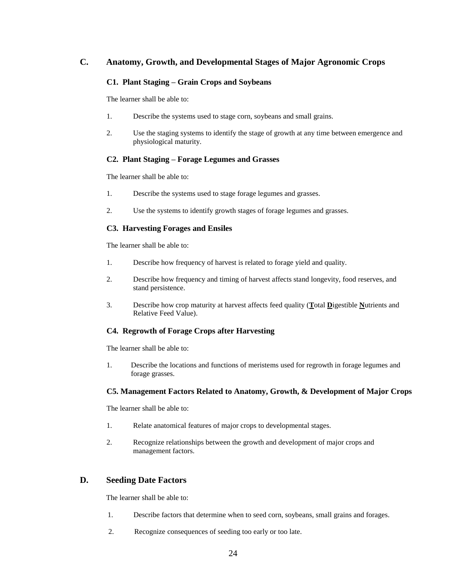# **C. Anatomy, Growth, and Developmental Stages of Major Agronomic Crops**

#### **C1. Plant Staging – Grain Crops and Soybeans**

The learner shall be able to:

- 1. Describe the systems used to stage corn, soybeans and small grains.
- 2. Use the staging systems to identify the stage of growth at any time between emergence and physiological maturity.

#### **C2. Plant Staging – Forage Legumes and Grasses**

The learner shall be able to:

- 1. Describe the systems used to stage forage legumes and grasses.
- 2. Use the systems to identify growth stages of forage legumes and grasses.

#### **C3. Harvesting Forages and Ensiles**

The learner shall be able to:

- 1. Describe how frequency of harvest is related to forage yield and quality.
- 2. Describe how frequency and timing of harvest affects stand longevity, food reserves, and stand persistence.
- 3. Describe how crop maturity at harvest affects feed quality (**T**otal **D**igestible **N**utrients and Relative Feed Value).

#### **C4. Regrowth of Forage Crops after Harvesting**

The learner shall be able to:

1. Describe the locations and functions of meristems used for regrowth in forage legumes and forage grasses.

#### **C5. Management Factors Related to Anatomy, Growth, & Development of Major Crops**

The learner shall be able to:

- 1. Relate anatomical features of major crops to developmental stages.
- 2. Recognize relationships between the growth and development of major crops and management factors.

#### **D. Seeding Date Factors**

- 1. Describe factors that determine when to seed corn, soybeans, small grains and forages.
- 2. Recognize consequences of seeding too early or too late.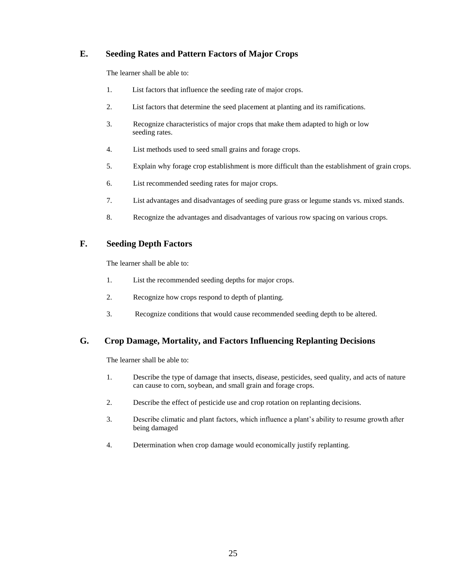# **E. Seeding Rates and Pattern Factors of Major Crops**

The learner shall be able to:

- 1. List factors that influence the seeding rate of major crops.
- 2. List factors that determine the seed placement at planting and its ramifications.
- 3. Recognize characteristics of major crops that make them adapted to high or low seeding rates.
- 4. List methods used to seed small grains and forage crops.
- 5. Explain why forage crop establishment is more difficult than the establishment of grain crops.
- 6. List recommended seeding rates for major crops.
- 7. List advantages and disadvantages of seeding pure grass or legume stands vs. mixed stands.
- 8. Recognize the advantages and disadvantages of various row spacing on various crops.

# **F. Seeding Depth Factors**

The learner shall be able to:

- 1. List the recommended seeding depths for major crops.
- 2. Recognize how crops respond to depth of planting.
- 3. Recognize conditions that would cause recommended seeding depth to be altered.

# **G. Crop Damage, Mortality, and Factors Influencing Replanting Decisions**

- 1. Describe the type of damage that insects, disease, pesticides, seed quality, and acts of nature can cause to corn, soybean, and small grain and forage crops.
- 2. Describe the effect of pesticide use and crop rotation on replanting decisions.
- 3. Describe climatic and plant factors, which influence a plant's ability to resume growth after being damaged
- 4. Determination when crop damage would economically justify replanting.